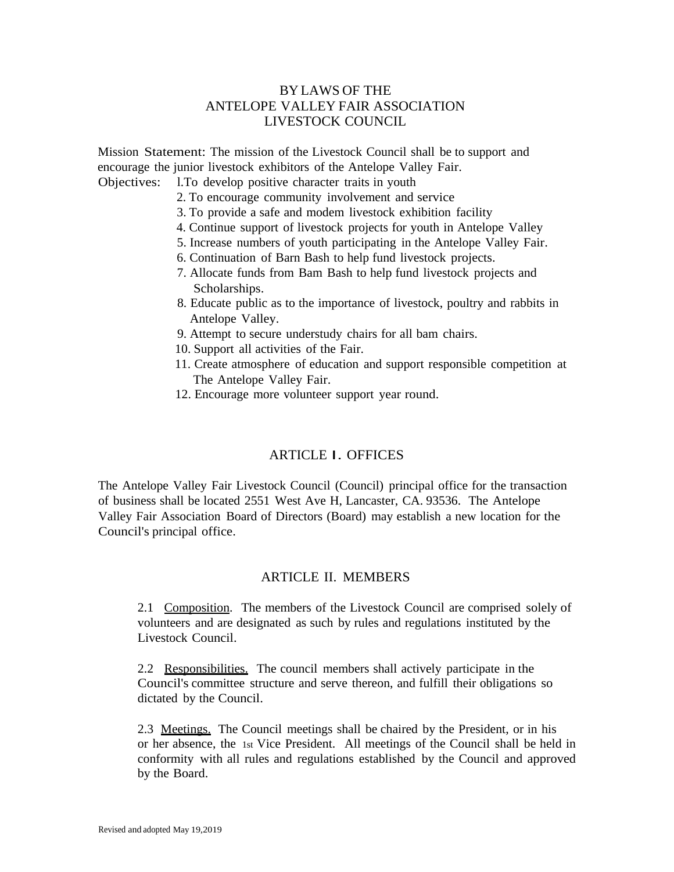# BY LAWS OF THE ANTELOPE VALLEY FAIR ASSOCIATION LIVESTOCK COUNCIL

Mission Statement: The mission of the Livestock Council shall be to support and encourage the junior livestock exhibitors of the Antelope Valley Fair.

Objectives: l.To develop positive character traits in youth

- 2. To encourage community involvement and service
- 3. To provide a safe and modem livestock exhibition facility
- 4. Continue support of livestock projects for youth in Antelope Valley
- 5. Increase numbers of youth participating in the Antelope Valley Fair.
- 6. Continuation of Barn Bash to help fund livestock projects.
- 7. Allocate funds from Bam Bash to help fund livestock projects and Scholarships.
- 8. Educate public as to the importance of livestock, poultry and rabbits in Antelope Valley.
- 9. Attempt to secure understudy chairs for all bam chairs.
- 10. Support all activities of the Fair.
- 11. Create atmosphere of education and support responsible competition at The Antelope Valley Fair.
- 12. Encourage more volunteer support year round.

## ARTICLE I. OFFICES

The Antelope Valley Fair Livestock Council (Council) principal office for the transaction of business shall be located 2551 West Ave H, Lancaster, CA. 93536. The Antelope Valley Fair Association Board of Directors (Board) may establish a new location for the Council's principal office.

## ARTICLE II. MEMBERS

2.1 Composition. The members of the Livestock Council are comprised solely of volunteers and are designated as such by rules and regulations instituted by the Livestock Council.

2.2 Responsibilities. The council members shall actively participate in the Council's committee structure and serve thereon, and fulfill their obligations so dictated by the Council.

2.3 Meetings. The Council meetings shall be chaired by the President, or in his or her absence, the 1st Vice President. All meetings of the Council shall be held in conformity with all rules and regulations established by the Council and approved by the Board.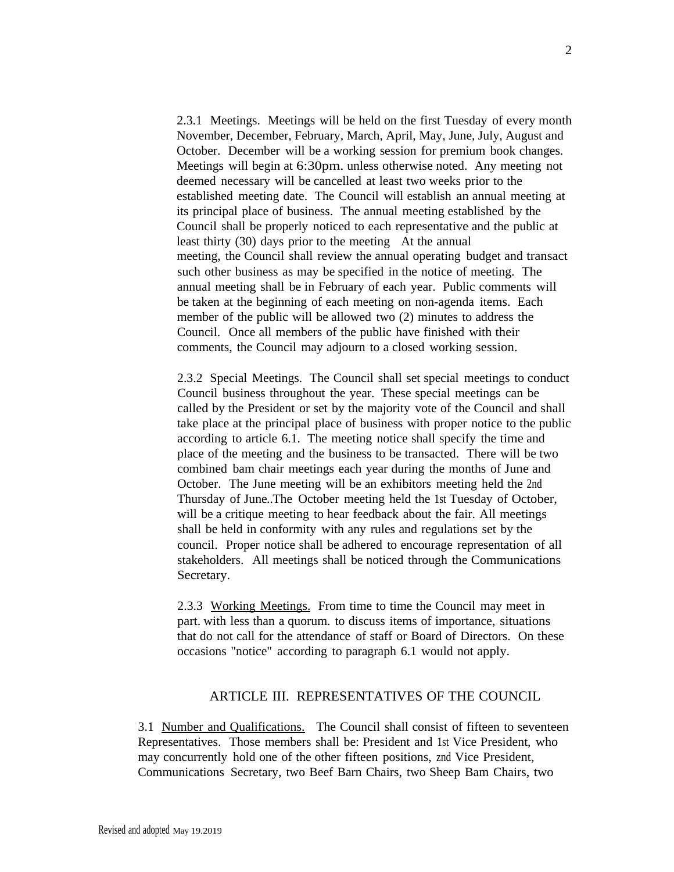2.3.1 Meetings. Meetings will be held on the first Tuesday of every month November, December, February, March, April, May, June, July, August and October. December will be a working session for premium book changes. Meetings will begin at 6:30pm. unless otherwise noted. Any meeting not deemed necessary will be cancelled at least two weeks prior to the established meeting date. The Council will establish an annual meeting at its principal place of business. The annual meeting established by the Council shall be properly noticed to each representative and the public at least thirty (30) days prior to the meeting At the annual meeting, the Council shall review the annual operating budget and transact such other business as may be specified in the notice of meeting. The annual meeting shall be in February of each year. Public comments will be taken at the beginning of each meeting on non-agenda items. Each member of the public will be allowed two (2) minutes to address the Council. Once all members of the public have finished with their comments, the Council may adjourn to a closed working session.

2.3.2 Special Meetings. The Council shall set special meetings to conduct Council business throughout the year. These special meetings can be called by the President or set by the majority vote of the Council and shall take place at the principal place of business with proper notice to the public according to article 6.1. The meeting notice shall specify the time and place of the meeting and the business to be transacted. There will be two combined bam chair meetings each year during the months of June and October. The June meeting will be an exhibitors meeting held the 2nd Thursday of June..The October meeting held the 1st Tuesday of October, will be a critique meeting to hear feedback about the fair. All meetings shall be held in conformity with any rules and regulations set by the council. Proper notice shall be adhered to encourage representation of all stakeholders. All meetings shall be noticed through the Communications Secretary.

2.3.3 Working Meetings. From time to time the Council may meet in part. with less than a quorum. to discuss items of importance, situations that do not call for the attendance of staff or Board of Directors. On these occasions "notice" according to paragraph 6.1 would not apply.

## ARTICLE III. REPRESENTATIVES OF THE COUNCIL

3.1 Number and Qualifications. The Council shall consist of fifteen to seventeen Representatives. Those members shall be: President and 1st Vice President, who may concurrently hold one of the other fifteen positions, znd Vice President, Communications Secretary, two Beef Barn Chairs, two Sheep Bam Chairs, two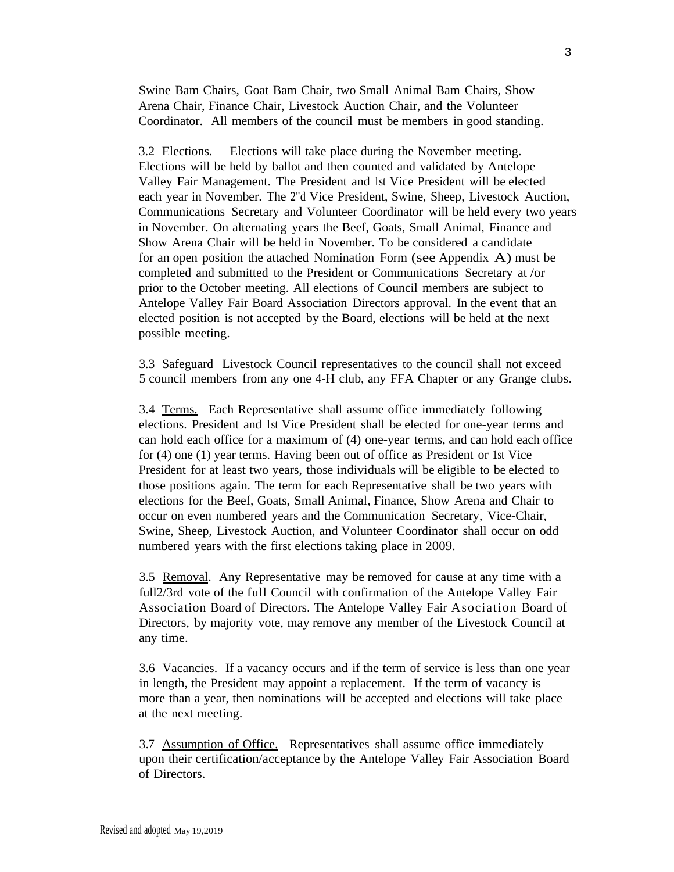Swine Bam Chairs, Goat Bam Chair, two Small Animal Bam Chairs, Show Arena Chair, Finance Chair, Livestock Auction Chair, and the Volunteer Coordinator. All members of the council must be members in good standing.

3.2 Elections. Elections will take place during the November meeting. Elections will be held by ballot and then counted and validated by Antelope Valley Fair Management. The President and 1st Vice President will be elected each year in November. The 2"d Vice President, Swine, Sheep, Livestock Auction, Communications Secretary and Volunteer Coordinator will be held every two years in November. On alternating years the Beef, Goats, Small Animal, Finance and Show Arena Chair will be held in November. To be considered a candidate for an open position the attached Nomination Form (see Appendix  $\bf{A}$ ) must be completed and submitted to the President or Communications Secretary at /or prior to the October meeting. All elections of Council members are subject to Antelope Valley Fair Board Association Directors approval. In the event that an elected position is not accepted by the Board, elections will be held at the next possible meeting.

3.3 Safeguard Livestock Council representatives to the council shall not exceed 5 council members from any one 4-H club, any FFA Chapter or any Grange clubs.

3.4 Terms. Each Representative shall assume office immediately following elections. President and 1st Vice President shall be elected for one-year terms and can hold each office for a maximum of (4) one-year terms, and can hold each office for (4) one (1) year terms. Having been out of office as President or 1st Vice President for at least two years, those individuals will be eligible to be elected to those positions again. The term for each Representative shall be two years with elections for the Beef, Goats, Small Animal, Finance, Show Arena and Chair to occur on even numbered years and the Communication Secretary, Vice-Chair, Swine, Sheep, Livestock Auction, and Volunteer Coordinator shall occur on odd numbered years with the first elections taking place in 2009.

3.5 Removal. Any Representative may be removed for cause at any time with a full2/3rd vote of the full Council with confirmation of the Antelope Valley Fair Association Board of Directors. The Antelope Valley Fair Asociation Board of Directors, by majority vote, may remove any member of the Livestock Council at any time.

3.6 Vacancies. If a vacancy occurs and if the term of service is less than one year in length, the President may appoint a replacement. If the term of vacancy is more than a year, then nominations will be accepted and elections will take place at the next meeting.

3.7 Assumption of Office. Representatives shall assume office immediately upon their certification/acceptance by the Antelope Valley Fair Association Board of Directors.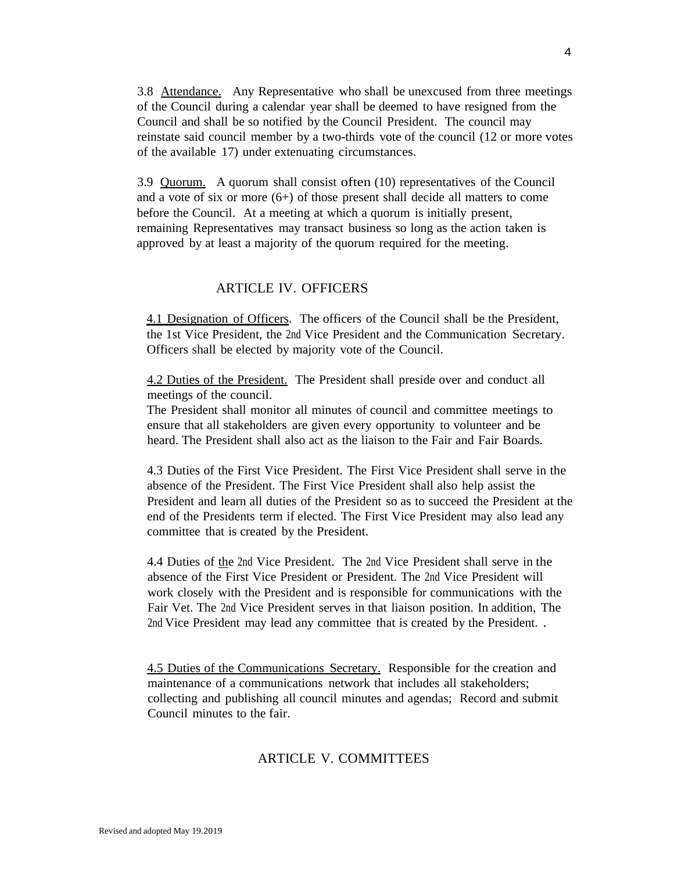3.8 Attendance. Any Representative who shall be unexcused from three meetings of the Council during a calendar year shall be deemed to have resigned from the Council and shall be so notified by the Council President. The council may reinstate said council member by a two-thirds vote of the council (12 or more votes of the available 17) under extenuating circumstances.

3.9 Quorum. A quorum shall consist often (10) representatives of the Council and a vote of six or more (6+) of those present shall decide all matters to come before the Council. At a meeting at which a quorum is initially present, remaining Representatives may transact business so long as the action taken is approved by at least a majority of the quorum required for the meeting.

#### ARTICLE IV. OFFICERS

4.1 Designation of Officers. The officers of the Council shall be the President, the 1st Vice President, the 2nd Vice President and the Communication Secretary. Officers shall be elected by majority vote of the Council.

4.2 Duties of the President. The President shall preside over and conduct all meetings of the council.

The President shall monitor all minutes of council and committee meetings to ensure that all stakeholders are given every opportunity to volunteer and be heard. The President shall also act as the liaison to the Fair and Fair Boards.

4.3 Duties of the First Vice President. The First Vice President shall serve in the absence of the President. The First Vice President shall also help assist the President and learn all duties of the President so as to succeed the President at the end of the Presidents term if elected. The First Vice President may also lead any committee that is created by the President.

4.4 Duties of the 2nd Vice President. The 2nd Vice President shall serve in the absence of the First Vice President or President. The 2nd Vice President will work closely with the President and is responsible for communications with the Fair Vet. The 2nd Vice President serves in that liaison position. In addition, The 2nd Vice President may lead any committee that is created by the President. .

4.5 Duties of the Communications Secretary. Responsible for the creation and maintenance of a communications network that includes all stakeholders; collecting and publishing all council minutes and agendas; Record and submit Council minutes to the fair.

#### ARTICLE V. COMMITTEES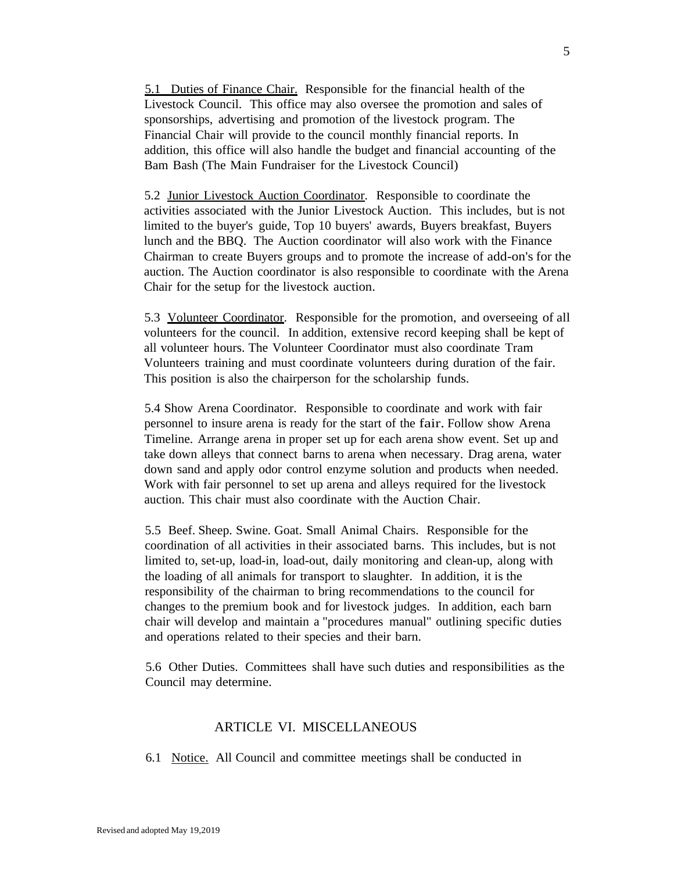5.1 Duties of Finance Chair. Responsible for the financial health of the Livestock Council. This office may also oversee the promotion and sales of sponsorships, advertising and promotion of the livestock program. The Financial Chair will provide to the council monthly financial reports. In addition, this office will also handle the budget and financial accounting of the Bam Bash (The Main Fundraiser for the Livestock Council)

5.2 Junior Livestock Auction Coordinator. Responsible to coordinate the activities associated with the Junior Livestock Auction. This includes, but is not limited to the buyer's guide, Top 10 buyers' awards, Buyers breakfast, Buyers lunch and the BBQ. The Auction coordinator will also work with the Finance Chairman to create Buyers groups and to promote the increase of add-on's for the auction. The Auction coordinator is also responsible to coordinate with the Arena Chair for the setup for the livestock auction.

5.3 Volunteer Coordinator. Responsible for the promotion, and overseeing of all volunteers for the council. In addition, extensive record keeping shall be kept of all volunteer hours. The Volunteer Coordinator must also coordinate Tram Volunteers training and must coordinate volunteers during duration of the fair. This position is also the chairperson for the scholarship funds.

5.4 Show Arena Coordinator. Responsible to coordinate and work with fair personnel to insure arena is ready for the start of the fair. Follow show Arena Timeline. Arrange arena in proper set up for each arena show event. Set up and take down alleys that connect barns to arena when necessary. Drag arena, water down sand and apply odor control enzyme solution and products when needed. Work with fair personnel to set up arena and alleys required for the livestock auction. This chair must also coordinate with the Auction Chair.

5.5 Beef. Sheep. Swine. Goat. Small Animal Chairs. Responsible for the coordination of all activities in their associated barns. This includes, but is not limited to, set-up, load-in, load-out, daily monitoring and clean-up, along with the loading of all animals for transport to slaughter. In addition, it is the responsibility of the chairman to bring recommendations to the council for changes to the premium book and for livestock judges. In addition, each barn chair will develop and maintain a "procedures manual" outlining specific duties and operations related to their species and their barn.

5.6 Other Duties. Committees shall have such duties and responsibilities as the Council may determine.

## ARTICLE VI. MISCELLANEOUS

6.1 Notice. All Council and committee meetings shall be conducted in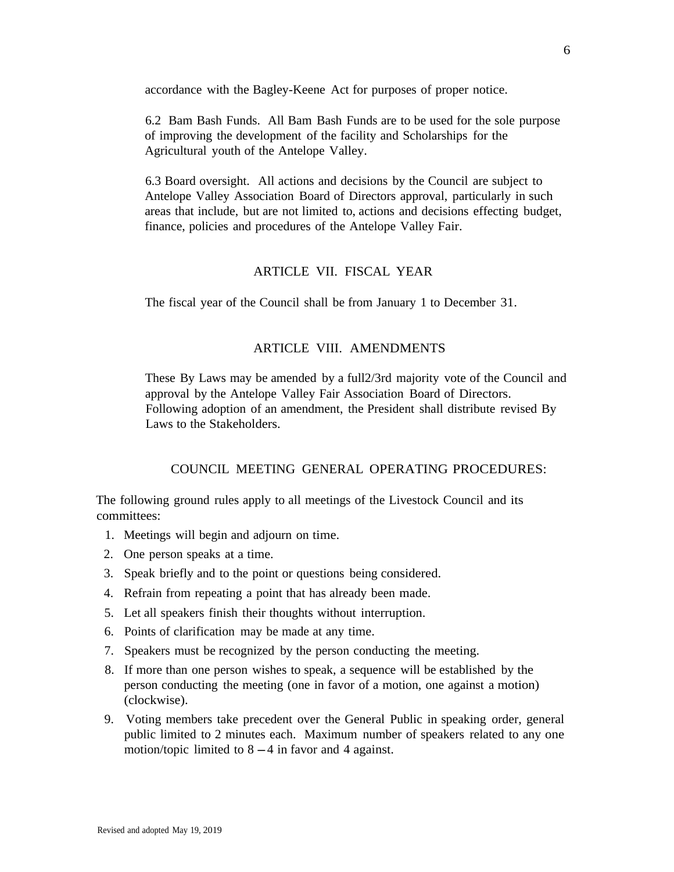accordance with the Bagley-Keene Act for purposes of proper notice.

6.2 Bam Bash Funds. All Bam Bash Funds are to be used for the sole purpose of improving the development of the facility and Scholarships for the Agricultural youth of the Antelope Valley.

6.3 Board oversight. All actions and decisions by the Council are subject to Antelope Valley Association Board of Directors approval, particularly in such areas that include, but are not limited to, actions and decisions effecting budget, finance, policies and procedures of the Antelope Valley Fair.

## ARTICLE VII. FISCAL YEAR

The fiscal year of the Council shall be from January 1 to December 31.

# ARTICLE VIII. AMENDMENTS

These By Laws may be amended by a full2/3rd majority vote of the Council and approval by the Antelope Valley Fair Association Board of Directors. Following adoption of an amendment, the President shall distribute revised By Laws to the Stakeholders.

## COUNCIL MEETING GENERAL OPERATING PROCEDURES:

The following ground rules apply to all meetings of the Livestock Council and its committees:

- 1. Meetings will begin and adjourn on time.
- 2. One person speaks at a time.
- 3. Speak briefly and to the point or questions being considered.
- 4. Refrain from repeating a point that has already been made.
- 5. Let all speakers finish their thoughts without interruption.
- 6. Points of clarification may be made at any time.
- 7. Speakers must be recognized by the person conducting the meeting.
- 8. If more than one person wishes to speak, a sequence will be established by the person conducting the meeting (one in favor of a motion, one against a motion) (clockwise).
- 9. Voting members take precedent over the General Public in speaking order, general public limited to 2 minutes each. Maximum number of speakers related to any one motion/topic limited to  $8 - 4$  in favor and 4 against.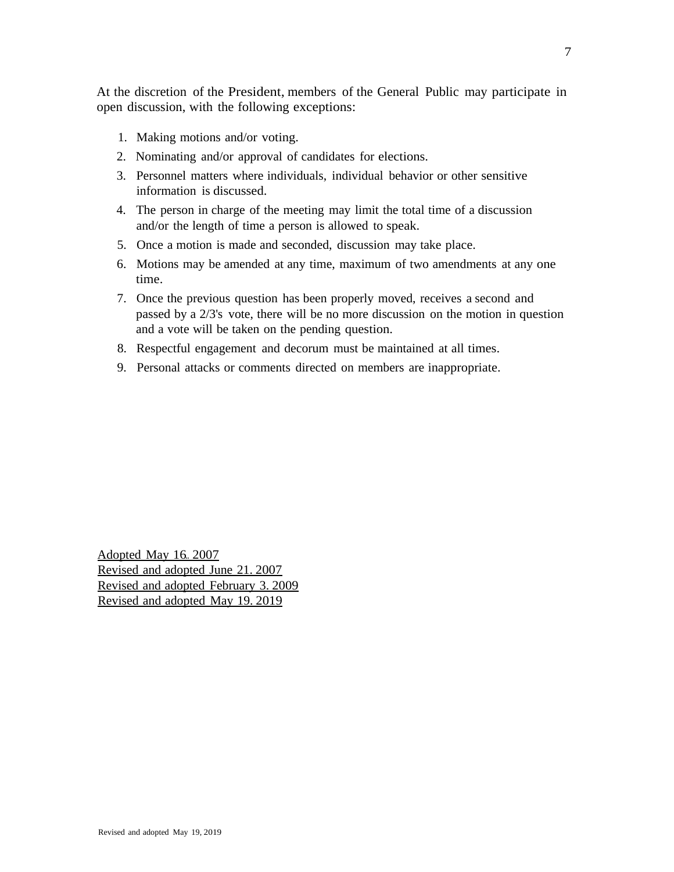At the discretion of the President, members of the General Public may participate in open discussion, with the following exceptions:

- 1. Making motions and/or voting.
- 2. Nominating and/or approval of candidates for elections.
- 3. Personnel matters where individuals, individual behavior or other sensitive information is discussed.
- 4. The person in charge of the meeting may limit the total time of a discussion and/or the length of time a person is allowed to speak.
- 5. Once a motion is made and seconded, discussion may take place.
- 6. Motions may be amended at any time, maximum of two amendments at any one time.
- 7. Once the previous question has been properly moved, receives a second and passed by a 2/3's vote, there will be no more discussion on the motion in question and a vote will be taken on the pending question.
- 8. Respectful engagement and decorum must be maintained at all times.
- 9. Personal attacks or comments directed on members are inappropriate.

Adopted May 16.. 2007 Revised and adopted June 21. 2007 Revised and adopted February 3. 2009 Revised and adopted May 19. 2019